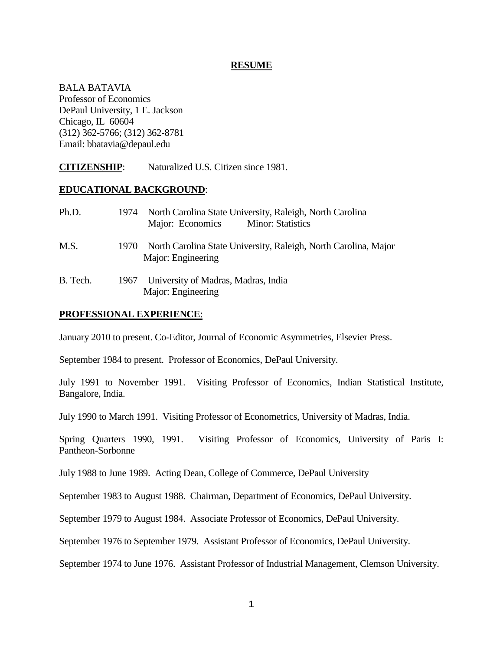#### **RESUME**

BALA BATAVIA Professor of Economics DePaul University, 1 E. Jackson Chicago, IL 60604 (312) 362-5766; (312) 362-8781 Email: bbatavia@depaul.edu

**CITIZENSHIP**: Naturalized U.S. Citizen since 1981.

### **EDUCATIONAL BACKGROUND**:

| Ph.D.    | 1974 | North Carolina State University, Raleigh, North Carolina<br>Major: Economics<br><b>Minor: Statistics</b> |
|----------|------|----------------------------------------------------------------------------------------------------------|
| M.S.     | 1970 | North Carolina State University, Raleigh, North Carolina, Major<br>Major: Engineering                    |
| B. Tech. | 1967 | University of Madras, Madras, India<br>Major: Engineering                                                |

### **PROFESSIONAL EXPERIENCE**:

January 2010 to present. Co-Editor, Journal of Economic Asymmetries, Elsevier Press.

September 1984 to present. Professor of Economics, DePaul University.

July 1991 to November 1991. Visiting Professor of Economics, Indian Statistical Institute, Bangalore, India.

July 1990 to March 1991. Visiting Professor of Econometrics, University of Madras, India.

Spring Quarters 1990, 1991. Visiting Professor of Economics, University of Paris I: Pantheon-Sorbonne

July 1988 to June 1989. Acting Dean, College of Commerce, DePaul University

September 1983 to August 1988. Chairman, Department of Economics, DePaul University.

September 1979 to August 1984. Associate Professor of Economics, DePaul University.

September 1976 to September 1979. Assistant Professor of Economics, DePaul University.

September 1974 to June 1976. Assistant Professor of Industrial Management, Clemson University.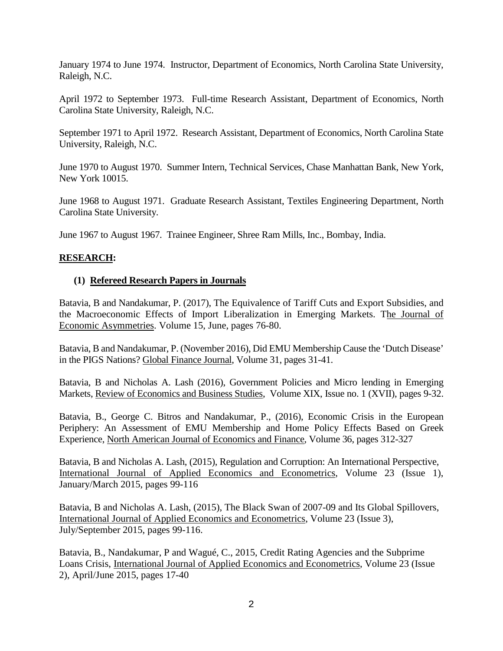January 1974 to June 1974. Instructor, Department of Economics, North Carolina State University, Raleigh, N.C.

April 1972 to September 1973. Full-time Research Assistant, Department of Economics, North Carolina State University, Raleigh, N.C.

September 1971 to April 1972. Research Assistant, Department of Economics, North Carolina State University, Raleigh, N.C.

June 1970 to August 1970. Summer Intern, Technical Services, Chase Manhattan Bank, New York, New York 10015.

June 1968 to August 1971. Graduate Research Assistant, Textiles Engineering Department, North Carolina State University.

June 1967 to August 1967. Trainee Engineer, Shree Ram Mills, Inc., Bombay, India.

### **RESEARCH:**

### **(1) Refereed Research Papers in Journals**

Batavia, B and Nandakumar, P. (2017), The Equivalence of Tariff Cuts and Export Subsidies, and the Macroeconomic Effects of Import Liberalization in Emerging Markets. The Journal of Economic Asymmetries. Volume 15, June, pages 76-80.

Batavia, B and Nandakumar, P. (November 2016), Did EMU Membership Cause the 'Dutch Disease' in the PIGS Nations? Global Finance Journal, Volume 31, pages 31-41.

Batavia, B and Nicholas A. Lash (2016), Government Policies and Micro lending in Emerging Markets, Review of Economics and Business Studies, Volume XIX, Issue no. 1 (XVII), pages 9-32.

Batavia, B., George C. Bitros and Nandakumar, P., (2016), Economic Crisis in the European Periphery: An Assessment of EMU Membership and Home Policy Effects Based on Greek Experience, North American Journal of Economics and Finance, Volume 36, pages 312-327

Batavia, B and Nicholas A. Lash, (2015), Regulation and Corruption: An International Perspective, International Journal of Applied Economics and Econometrics, Volume 23 (Issue 1), January/March 2015, pages 99-116

Batavia, B and Nicholas A. Lash, (2015), The Black Swan of 2007-09 and Its Global Spillovers, International Journal of Applied Economics and Econometrics, Volume 23 (Issue 3), July/September 2015, pages 99-116.

Batavia, B., Nandakumar, P and Wagué, C., 2015, Credit Rating Agencies and the Subprime Loans Crisis, International Journal of Applied Economics and Econometrics, Volume 23 (Issue 2), April/June 2015, pages 17-40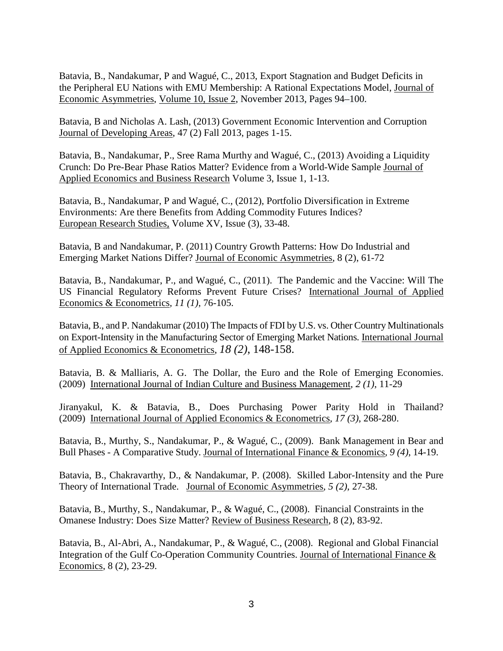Batavia, B., Nandakumar, P and Wagué, C., 2013, Export Stagnation and Budget Deficits in the Peripheral EU Nations with EMU Membership: A Rational Expectations Model, Journal of Economic Asymmetries, [Volume](http://www.sciencedirect.com/science/journal/17034949/10/2) 10, Issue 2, November 2013, Pages 94–100.

Batavia, B and Nicholas A. Lash, (2013) Government Economic Intervention and Corruption Journal of Developing Areas, 47 (2) Fall 2013, pages 1-15.

Batavia, B., Nandakumar, P., Sree Rama Murthy and Wagué, C., (2013) Avoiding a Liquidity Crunch: Do Pre-Bear Phase Ratios Matter? Evidence from a World-Wide Sample Journal of Applied Economics and Business Research Volume 3, Issue 1, 1-13.

Batavia, B., Nandakumar, P and Wagué, C., (2012), Portfolio Diversification in Extreme Environments: Are there Benefits from Adding Commodity Futures Indices? European Research Studies, Volume XV, Issue (3), 33-48.

Batavia, B and Nandakumar, P. (2011) Country Growth Patterns: How Do Industrial and Emerging Market Nations Differ? Journal of Economic Asymmetries, 8 (2), 61-72

Batavia, B., Nandakumar, P., and Wagué, C., (2011). The Pandemic and the Vaccine: Will The US Financial Regulatory Reforms Prevent Future Crises? International Journal of Applied Economics & Econometrics*, 11 (1)*, 76-105.

Batavia, B., and P. Nandakumar (2010) The Impacts of FDI by U.S. vs. Other Country Multinationals on Export-Intensity in the Manufacturing Sector of Emerging Market Nations. International Journal of Applied Economics & Econometrics, *18 (2)*, 148-158.

Batavia, B. & Malliaris, A. G. The Dollar, the Euro and the Role of Emerging Economies. (2009) International Journal of Indian Culture and Business Management*, 2 (1)*, 11-29

Jiranyakul, K. & Batavia, B., Does Purchasing Power Parity Hold in Thailand? (2009) International Journal of Applied Economics & Econometrics*, 17 (3)*, 268-280.

Batavia, B., Murthy, S., Nandakumar, P., & Wagué, C., (2009). Bank Management in Bear and Bull Phases - A Comparative Study. Journal of International Finance & Economics*, 9 (4)*, 14-19.

Batavia, B., Chakravarthy, D., & Nandakumar, P. (2008). Skilled Labor-Intensity and the Pure Theory of International Trade. Journal of Economic Asymmetries*, 5 (2)*, 27-38.

Batavia, B., Murthy, S., Nandakumar, P., & Wagué, C., (2008). Financial Constraints in the Omanese Industry: Does Size Matter? Review of Business Research, 8 (2), 83-92.

Batavia, B., Al-Abri, A., Nandakumar, P., & Wagué, C., (2008). Regional and Global Financial Integration of the Gulf Co-Operation Community Countries. Journal of International Finance & Economics, 8 (2), 23-29.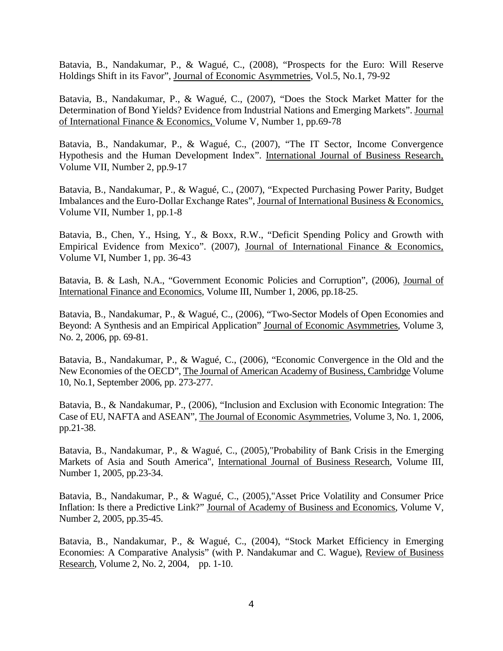Batavia, B., Nandakumar, P., & Wagué, C., (2008), "Prospects for the Euro: Will Reserve Holdings Shift in its Favor", Journal of Economic Asymmetries, Vol.5, No.1, 79-92

Batavia, B., Nandakumar, P., & Wagué, C., (2007), "Does the Stock Market Matter for the Determination of Bond Yields? Evidence from Industrial Nations and Emerging Markets". Journal of International Finance & Economics, Volume V, Number 1, pp.69-78

Batavia, B., Nandakumar, P., & Wagué, C., (2007), "The IT Sector, Income Convergence Hypothesis and the Human Development Index". International Journal of Business Research, Volume VII, Number 2, pp.9-17

Batavia, B., Nandakumar, P., & Wagué, C., (2007), "Expected Purchasing Power Parity, Budget Imbalances and the Euro-Dollar Exchange Rates", Journal of International Business & Economics, Volume VII, Number 1, pp.1-8

Batavia, B., Chen, Y., Hsing, Y., & Boxx, R.W., "Deficit Spending Policy and Growth with Empirical Evidence from Mexico". (2007), Journal of International Finance & Economics, Volume VI, Number 1, pp. 36-43

Batavia, B. & Lash, N.A., "Government Economic Policies and Corruption", (2006), Journal of International Finance and Economics, Volume III, Number 1, 2006, pp.18-25.

Batavia, B., Nandakumar, P., & Wagué, C., (2006), "Two-Sector Models of Open Economies and Beyond: A Synthesis and an Empirical Application" Journal of Economic Asymmetries, Volume 3, No. 2, 2006, pp. 69-81.

Batavia, B., Nandakumar, P., & Wagué, C., (2006), "Economic Convergence in the Old and the New Economies of the OECD", The Journal of American Academy of Business, Cambridge Volume 10, No.1, September 2006, pp. 273-277.

Batavia, B., & Nandakumar, P., (2006), "Inclusion and Exclusion with Economic Integration: The Case of EU, NAFTA and ASEAN", The Journal of Economic Asymmetries, Volume 3, No. 1, 2006, pp.21-38.

Batavia, B., Nandakumar, P., & Wagué, C., (2005),"Probability of Bank Crisis in the Emerging Markets of Asia and South America", International Journal of Business Research, Volume III, Number 1, 2005, pp.23-34.

Batavia, B., Nandakumar, P., & Wagué, C., (2005),"Asset Price Volatility and Consumer Price Inflation: Is there a Predictive Link?" Journal of Academy of Business and Economics, Volume V, Number 2, 2005, pp.35-45.

Batavia, B., Nandakumar, P., & Wagué, C., (2004), "Stock Market Efficiency in Emerging Economies: A Comparative Analysis" (with P. Nandakumar and C. Wague), Review of Business Research, Volume 2, No. 2, 2004, pp. 1-10.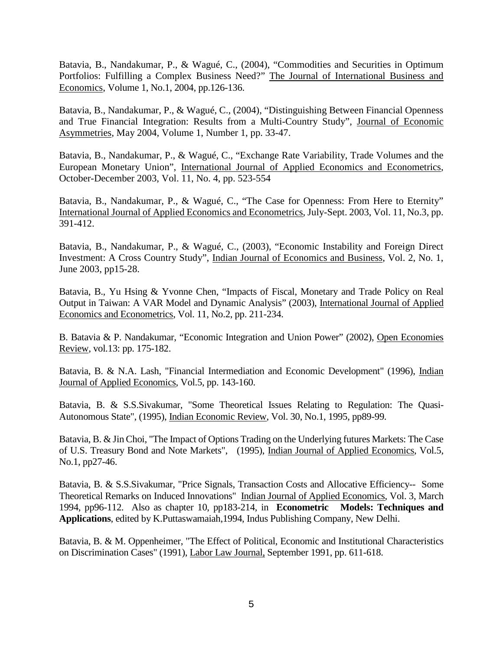Batavia, B., Nandakumar, P., & Wagué, C., (2004), "Commodities and Securities in Optimum Portfolios: Fulfilling a Complex Business Need?" The Journal of International Business and Economics, Volume 1, No.1, 2004, pp.126-136.

Batavia, B., Nandakumar, P., & Wagué, C., (2004), "Distinguishing Between Financial Openness and True Financial Integration: Results from a Multi-Country Study", Journal of Economic Asymmetries, May 2004, Volume 1, Number 1, pp. 33-47.

Batavia, B., Nandakumar, P., & Wagué, C., "Exchange Rate Variability, Trade Volumes and the European Monetary Union", International Journal of Applied Economics and Econometrics, October-December 2003, Vol. 11, No. 4, pp. 523-554

Batavia, B., Nandakumar, P., & Wagué, C., "The Case for Openness: From Here to Eternity" International Journal of Applied Economics and Econometrics, July-Sept. 2003, Vol. 11, No.3, pp. 391-412.

Batavia, B., Nandakumar, P., & Wagué, C., (2003), "Economic Instability and Foreign Direct Investment: A Cross Country Study", Indian Journal of Economics and Business, Vol. 2, No. 1, June 2003, pp15-28.

Batavia, B., Yu Hsing & Yvonne Chen, "Impacts of Fiscal, Monetary and Trade Policy on Real Output in Taiwan: A VAR Model and Dynamic Analysis" (2003), International Journal of Applied Economics and Econometrics, Vol. 11, No.2, pp. 211-234.

B. Batavia & P. Nandakumar, "Economic Integration and Union Power" (2002), Open Economies Review, vol.13: pp. 175-182.

Batavia, B. & N.A. Lash, "Financial Intermediation and Economic Development" (1996), Indian Journal of Applied Economics, Vol.5, pp. 143-160.

Batavia, B. & S.S.Sivakumar, "Some Theoretical Issues Relating to Regulation: The Quasi-Autonomous State", (1995), Indian Economic Review, Vol. 30, No.1, 1995, pp89-99.

Batavia, B. & Jin Choi, "The Impact of Options Trading on the Underlying futures Markets: The Case of U.S. Treasury Bond and Note Markets", (1995), Indian Journal of Applied Economics, Vol.5, No.1, pp27-46.

Batavia, B. & S.S.Sivakumar, "Price Signals, Transaction Costs and Allocative Efficiency-- Some Theoretical Remarks on Induced Innovations" Indian Journal of Applied Economics, Vol. 3, March 1994, pp96-112. Also as chapter 10, pp183-214, in **Econometric Models: Techniques and Applications**, edited by K.Puttaswamaiah,1994, Indus Publishing Company, New Delhi.

Batavia, B. & M. Oppenheimer, "The Effect of Political, Economic and Institutional Characteristics on Discrimination Cases" (1991), Labor Law Journal, September 1991, pp. 611-618.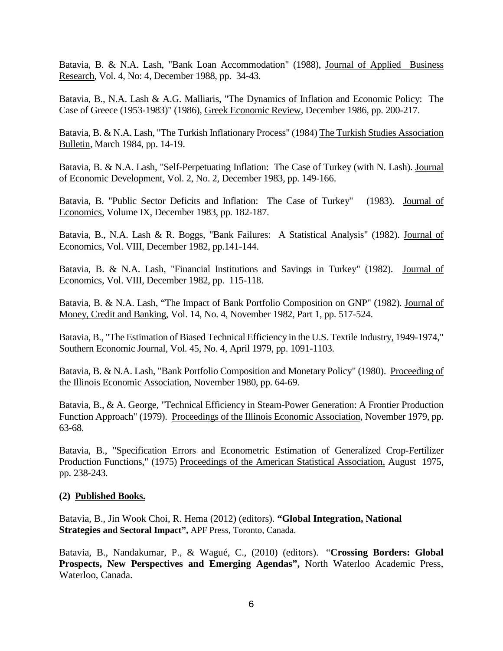Batavia, B. & N.A. Lash, "Bank Loan Accommodation" (1988), Journal of Applied Business Research, Vol. 4, No: 4, December 1988, pp. 34-43.

Batavia, B., N.A. Lash & A.G. Malliaris, "The Dynamics of Inflation and Economic Policy: The Case of Greece (1953-1983)" (1986), Greek Economic Review, December 1986, pp. 200-217.

Batavia, B. & N.A. Lash, "The Turkish Inflationary Process" (1984) The Turkish Studies Association Bulletin, March 1984, pp. 14-19.

Batavia, B. & N.A. Lash, "Self-Perpetuating Inflation: The Case of Turkey (with N. Lash). Journal of Economic Development, Vol. 2, No. 2, December 1983, pp. 149-166.

Batavia, B. "Public Sector Deficits and Inflation: The Case of Turkey" (1983). Journal of Economics, Volume IX, December 1983, pp. 182-187.

Batavia, B., N.A. Lash & R. Boggs, "Bank Failures: A Statistical Analysis" (1982). Journal of Economics, Vol. VIII, December 1982, pp.141-144.

Batavia, B. & N.A. Lash, "Financial Institutions and Savings in Turkey" (1982). Journal of Economics, Vol. VIII, December 1982, pp. 115-118.

Batavia, B. & N.A. Lash, "The Impact of Bank Portfolio Composition on GNP" (1982). Journal of Money, Credit and Banking, Vol. 14, No. 4, November 1982, Part 1, pp. 517-524.

Batavia, B., "The Estimation of Biased Technical Efficiency in the U.S. Textile Industry, 1949-1974," Southern Economic Journal, Vol. 45, No. 4, April 1979, pp. 1091-1103.

Batavia, B. & N.A. Lash, "Bank Portfolio Composition and Monetary Policy" (1980). Proceeding of the Illinois Economic Association, November 1980, pp. 64-69.

Batavia, B., & A. George, "Technical Efficiency in Steam-Power Generation: A Frontier Production Function Approach" (1979). Proceedings of the Illinois Economic Association, November 1979, pp. 63-68.

Batavia, B., "Specification Errors and Econometric Estimation of Generalized Crop-Fertilizer Production Functions," (1975) Proceedings of the American Statistical Association, August 1975, pp. 238-243.

### **(2) Published Books.**

Batavia, B., Jin Wook Choi, R. Hema (2012) (editors). **"Global Integration, National Strategies and Sectoral Impact",** APF Press, Toronto, Canada.

Batavia, B., Nandakumar, P., & Wagué, C., (2010) (editors). "**Crossing Borders: Global Prospects, New Perspectives and Emerging Agendas",** North Waterloo Academic Press, Waterloo, Canada.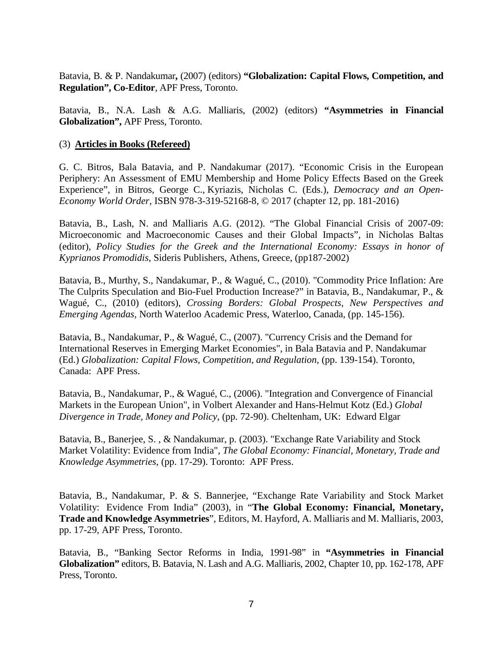Batavia, B. & P. Nandakumar**,** (2007) (editors) **"Globalization: Capital Flows, Competition, and Regulation", Co-Editor**, APF Press, Toronto.

Batavia, B., N.A. Lash & A.G. Malliaris, (2002) (editors) **"Asymmetries in Financial Globalization",** APF Press, Toronto.

#### (3) **Articles in Books (Refereed)**

G. C. Bitros, Bala Batavia, and P. Nandakumar (2017). "Economic Crisis in the European Periphery: An Assessment of EMU Membership and Home Policy Effects Based on the Greek Experience", in Bitros, George C., Kyriazis, Nicholas C. (Eds.), *[Democracy](https://www.springer.com/978-3-319-52167-1) and an Open-[Economy](https://www.springer.com/978-3-319-52167-1) World Order*, ISBN 978-3-319-52168-8, © 2017 (chapter 12, pp. 181-2016)

Batavia, B., Lash, N. and Malliaris A.G. (2012). "The Global Financial Crisis of 2007-09: Microeconomic and Macroeconomic Causes and their Global Impacts", in Nicholas Baltas (editor), *Policy Studies for the Greek and the International Economy: Essays in honor of Kyprianos Promodidis*, Sideris Publishers, Athens, Greece, (pp187-2002)

Batavia, B., Murthy, S., Nandakumar, P., & Wagué, C., (2010). "Commodity Price Inflation: Are The Culprits Speculation and Bio-Fuel Production Increase?" in Batavia, B., Nandakumar, P., & Wagué, C., (2010) (editors), *Crossing Borders: Global Prospects, New Perspectives and Emerging Agendas,* North Waterloo Academic Press, Waterloo, Canada, (pp. 145-156).

Batavia, B., Nandakumar, P., & Wagué, C., (2007). "Currency Crisis and the Demand for International Reserves in Emerging Market Economies", in Bala Batavia and P. Nandakumar (Ed.) *Globalization: Capital Flows, Competition, and Regulation*, (pp. 139-154). Toronto, Canada: APF Press.

Batavia, B., Nandakumar, P., & Wagué, C., (2006). "Integration and Convergence of Financial Markets in the European Union", in Volbert Alexander and Hans-Helmut Kotz (Ed.) *Global Divergence in Trade, Money and Policy*, (pp. 72-90). Cheltenham, UK: Edward Elgar

Batavia, B., Banerjee, S. , & Nandakumar, p. (2003). "Exchange Rate Variability and Stock Market Volatility: Evidence from India", *The Global Economy: Financial, Monetary, Trade and Knowledge Asymmetries*, (pp. 17-29). Toronto: APF Press.

Batavia, B., Nandakumar, P. & S. Bannerjee, "Exchange Rate Variability and Stock Market Volatility: Evidence From India" (2003), in "**The Global Economy: Financial, Monetary, Trade and Knowledge Asymmetries**", Editors, M. Hayford, A. Malliaris and M. Malliaris, 2003, pp. 17-29, APF Press, Toronto.

Batavia, B., "Banking Sector Reforms in India, 1991-98" in **"Asymmetries in Financial Globalization"** editors, B. Batavia, N. Lash and A.G. Malliaris, 2002, Chapter 10, pp. 162-178, APF Press, Toronto.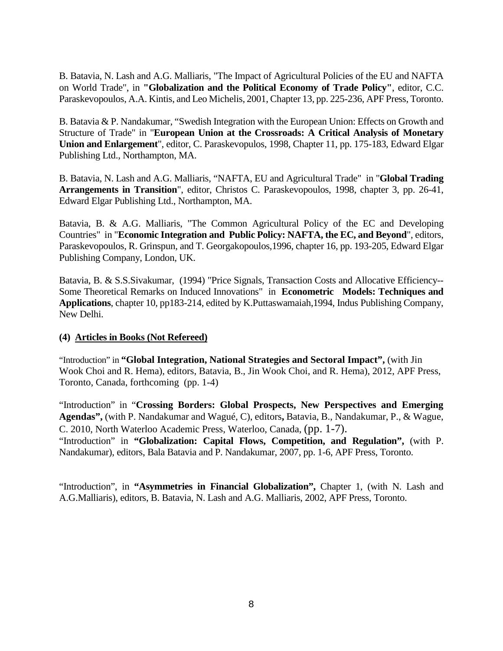B. Batavia, N. Lash and A.G. Malliaris, "The Impact of Agricultural Policies of the EU and NAFTA on World Trade", in **"Globalization and the Political Economy of Trade Policy"**, editor, C.C. Paraskevopoulos, A.A. Kintis, and Leo Michelis, 2001, Chapter 13, pp. 225-236, APF Press, Toronto.

B. Batavia & P. Nandakumar, "Swedish Integration with the European Union: Effects on Growth and Structure of Trade" in "**European Union at the Crossroads: A Critical Analysis of Monetary Union and Enlargement**", editor, C. Paraskevopulos, 1998, Chapter 11, pp. 175-183, Edward Elgar Publishing Ltd., Northampton, MA.

B. Batavia, N. Lash and A.G. Malliaris, "NAFTA, EU and Agricultural Trade" in "**Global Trading Arrangements in Transition**", editor, Christos C. Paraskevopoulos, 1998, chapter 3, pp. 26-41, Edward Elgar Publishing Ltd., Northampton, MA.

Batavia, B. & A.G. Malliaris, "The Common Agricultural Policy of the EC and Developing Countries" in "**Economic Integration and Public Policy: NAFTA, the EC, and Beyond**", editors, Paraskevopoulos, R. Grinspun, and T. Georgakopoulos,1996, chapter 16, pp. 193-205, Edward Elgar Publishing Company, London, UK.

Batavia, B. & S.S.Sivakumar, (1994) "Price Signals, Transaction Costs and Allocative Efficiency-- Some Theoretical Remarks on Induced Innovations" in **Econometric Models: Techniques and Applications**, chapter 10, pp183-214, edited by K.Puttaswamaiah,1994, Indus Publishing Company, New Delhi.

### **(4) Articles in Books (Not Refereed)**

"Introduction" in **"Global Integration, National Strategies and Sectoral Impact",** (with Jin Wook Choi and R. Hema), editors, Batavia, B., Jin Wook Choi, and R. Hema), 2012, APF Press, Toronto, Canada, forthcoming (pp. 1-4)

"Introduction" in "**Crossing Borders: Global Prospects, New Perspectives and Emerging Agendas",** (with P. Nandakumar and Wagué, C), editors**,** Batavia, B., Nandakumar, P., & Wague, C. 2010, North Waterloo Academic Press, Waterloo, Canada, (pp. 1-7).

"Introduction" in **"Globalization: Capital Flows, Competition, and Regulation",** (with P. Nandakumar), editors, Bala Batavia and P. Nandakumar, 2007, pp. 1-6, APF Press, Toronto.

"Introduction", in **"Asymmetries in Financial Globalization",** Chapter 1, (with N. Lash and A.G.Malliaris), editors, B. Batavia, N. Lash and A.G. Malliaris, 2002, APF Press, Toronto.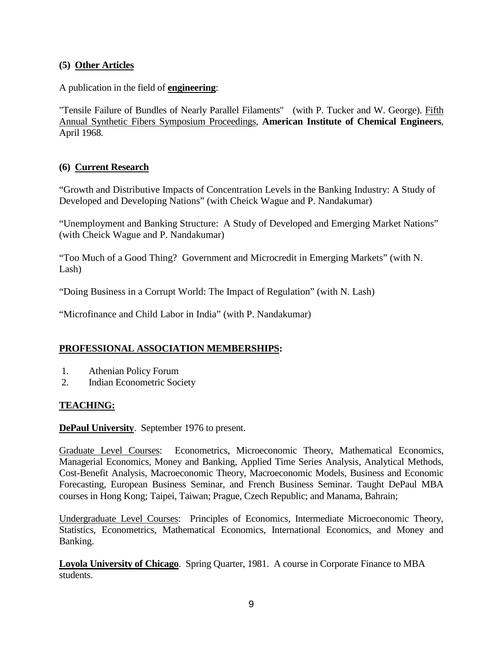## **(5) Other Articles**

## A publication in the field of **engineering**:

"Tensile Failure of Bundles of Nearly Parallel Filaments" (with P. Tucker and W. George). Fifth Annual Synthetic Fibers Symposium Proceedings, **American Institute of Chemical Engineers**, April 1968.

## **(6) Current Research**

"Growth and Distributive Impacts of Concentration Levels in the Banking Industry: A Study of Developed and Developing Nations" (with Cheick Wague and P. Nandakumar)

"Unemployment and Banking Structure: A Study of Developed and Emerging Market Nations" (with Cheick Wague and P. Nandakumar)

"Too Much of a Good Thing? Government and Microcredit in Emerging Markets" (with N. Lash)

"Doing Business in a Corrupt World: The Impact of Regulation" (with N. Lash)

"Microfinance and Child Labor in India" (with P. Nandakumar)

# **PROFESSIONAL ASSOCIATION MEMBERSHIPS:**

- 1. Athenian Policy Forum
- 2. Indian Econometric Society

## **TEACHING:**

**DePaul University**. September 1976 to present.

Graduate Level Courses: Econometrics, Microeconomic Theory, Mathematical Economics, Managerial Economics, Money and Banking, Applied Time Series Analysis, Analytical Methods, Cost-Benefit Analysis, Macroeconomic Theory, Macroeconomic Models, Business and Economic Forecasting, European Business Seminar, and French Business Seminar. Taught DePaul MBA courses in Hong Kong; Taipei, Taiwan; Prague, Czech Republic; and Manama, Bahrain;

Undergraduate Level Courses: Principles of Economics, Intermediate Microeconomic Theory, Statistics, Econometrics, Mathematical Economics, International Economics, and Money and Banking.

**Loyola University of Chicago**. Spring Quarter, 1981. A course in Corporate Finance to MBA students.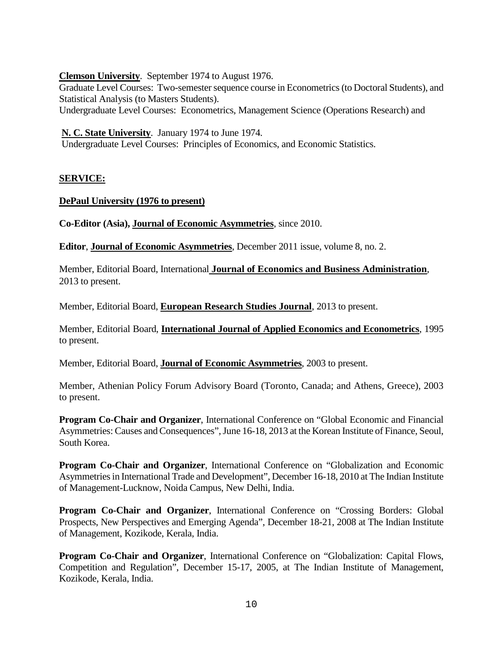**Clemson University**. September 1974 to August 1976.

Graduate Level Courses: Two-semester sequence course in Econometrics (to Doctoral Students), and Statistical Analysis (to Masters Students).

Undergraduate Level Courses: Econometrics, Management Science (Operations Research) and

**N. C. State University**. January 1974 to June 1974.

Undergraduate Level Courses: Principles of Economics, and Economic Statistics.

## **SERVICE:**

### **DePaul University (1976 to present)**

**Co-Editor (Asia), Journal of Economic Asymmetries**, since 2010.

**Editor**, **Journal of Economic Asymmetries**, December 2011 issue, volume 8, no. 2.

Member, Editorial Board, International **Journal of Economics and Business Administration**, 2013 to present.

Member, Editorial Board, **European Research Studies Journal**, 2013 to present.

Member, Editorial Board, **International Journal of Applied Economics and Econometrics**, 1995 to present.

Member, Editorial Board, **Journal of Economic Asymmetries**, 2003 to present.

Member, Athenian Policy Forum Advisory Board (Toronto, Canada; and Athens, Greece), 2003 to present.

**Program Co-Chair and Organizer**, International Conference on "Global Economic and Financial Asymmetries: Causes and Consequences", June 16-18, 2013 at the Korean Institute of Finance, Seoul, South Korea.

**Program Co-Chair and Organizer**, International Conference on "Globalization and Economic Asymmetries in International Trade and Development", December 16-18, 2010 at The Indian Institute of Management-Lucknow, Noida Campus, New Delhi, India.

**Program Co-Chair and Organizer**, International Conference on "Crossing Borders: Global Prospects, New Perspectives and Emerging Agenda", December 18-21, 2008 at The Indian Institute of Management, Kozikode, Kerala, India.

**Program Co-Chair and Organizer**, International Conference on "Globalization: Capital Flows, Competition and Regulation", December 15-17, 2005, at The Indian Institute of Management, Kozikode, Kerala, India.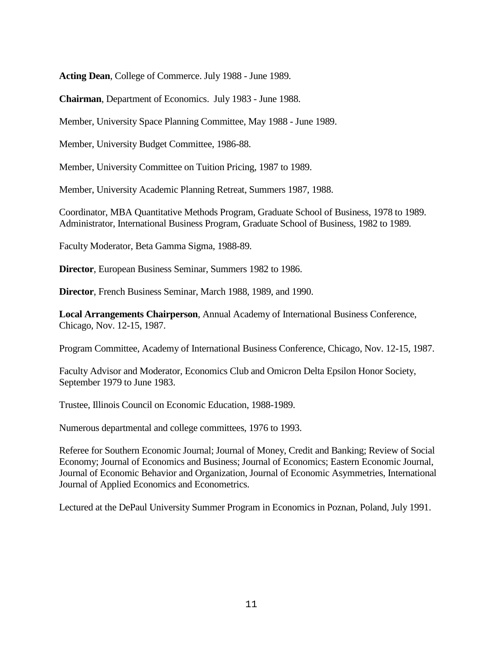**Acting Dean**, College of Commerce. July 1988 - June 1989.

**Chairman**, Department of Economics. July 1983 - June 1988.

Member, University Space Planning Committee, May 1988 - June 1989.

Member, University Budget Committee, 1986-88.

Member, University Committee on Tuition Pricing, 1987 to 1989.

Member, University Academic Planning Retreat, Summers 1987, 1988.

Coordinator, MBA Quantitative Methods Program, Graduate School of Business, 1978 to 1989. Administrator, International Business Program, Graduate School of Business, 1982 to 1989.

Faculty Moderator, Beta Gamma Sigma, 1988-89.

**Director**, European Business Seminar, Summers 1982 to 1986.

**Director**, French Business Seminar, March 1988, 1989, and 1990.

**Local Arrangements Chairperson**, Annual Academy of International Business Conference, Chicago, Nov. 12-15, 1987.

Program Committee, Academy of International Business Conference, Chicago, Nov. 12-15, 1987.

Faculty Advisor and Moderator, Economics Club and Omicron Delta Epsilon Honor Society, September 1979 to June 1983.

Trustee, Illinois Council on Economic Education, 1988-1989.

Numerous departmental and college committees, 1976 to 1993.

Referee for Southern Economic Journal; Journal of Money, Credit and Banking; Review of Social Economy; Journal of Economics and Business; Journal of Economics; Eastern Economic Journal, Journal of Economic Behavior and Organization, Journal of Economic Asymmetries, International Journal of Applied Economics and Econometrics.

Lectured at the DePaul University Summer Program in Economics in Poznan, Poland, July 1991.